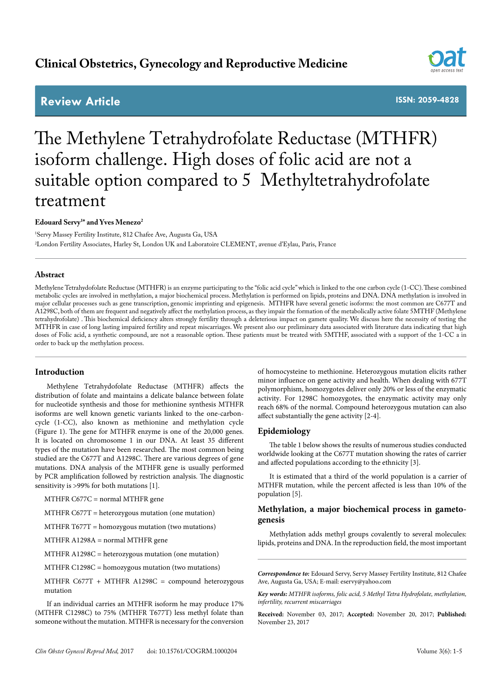# **Clinical Obstetrics, Gynecology and Reproductive Medicine**

# **Review Article**

**ISSN: 2059-4828**

# The Methylene Tetrahydrofolate Reductase (MTHFR) isoform challenge. High doses of folic acid are not a suitable option compared to 5 Methyltetrahydrofolate treatment

# **Edouard Servy1 \* and Yves Menezo2**

1 Servy Massey Fertility Institute, 812 Chafee Ave, Augusta Ga, USA 2 London Fertility Associates, Harley St, London UK and Laboratoire CLEMENT, avenue d'Eylau, Paris, France

# **Abstract**

Methylene Tetrahydofolate Reductase (MTHFR) is an enzyme participating to the "folic acid cycle" which is linked to the one carbon cycle (1-CC). These combined metabolic cycles are involved in methylation, a major biochemical process. Methylation is performed on lipids, proteins and DNA. DNA methylation is involved in major cellular processes such as gene transcription, genomic imprinting and epigenesis. MTHFR have several genetic isoforms: the most common are C677T and A1298C, both of them are frequent and negatively affect the methylation process, as they impair the formation of the metabolically active folate 5MTHF (Methylene tetrahydrofolate) . This biochemical deficiency alters strongly fertility through a deleterious impact on gamete quality. We discuss here the necessity of testing the MTHFR in case of long lasting impaired fertility and repeat miscarriages. We present also our preliminary data associated with literature data indicating that high doses of Folic acid, a synthetic compound, are not a reasonable option. These patients must be treated with 5MTHF, associated with a support of the 1-CC a in order to back up the methylation process.

# **Introduction**

Methylene Tetrahydofolate Reductase (MTHFR) affects the distribution of folate and maintains a delicate balance between folate for nucleotide synthesis and those for methionine synthesis MTHFR isoforms are well known genetic variants linked to the one-carboncycle (1-CC), also known as methionine and methylation cycle (Figure 1). The gene for MTHFR enzyme is one of the 20,000 genes. It is located on chromosome 1 in our DNA. At least 35 different types of the mutation have been researched. The most common being studied are the C677T and A1298C. There are various degrees of gene mutations. DNA analysis of the MTHFR gene is usually performed by PCR amplification followed by restriction analysis. The diagnostic sensitivity is >99% for both mutations [1].

MTHFR C677C = normal MTHFR gene

MTHFR C677T = heterozygous mutation (one mutation)

MTHFR T677T = homozygous mutation (two mutations)

MTHFR A1298A = normal MTHFR gene

MTHFR A1298C = heterozygous mutation (one mutation)

MTHFR C1298C = homozygous mutation (two mutations)

MTHFR C677T + MTHFR A1298C = compound heterozygous mutation

If an individual carries an MTHFR isoform he may produce 17% (MTHFR C1298C) to 75% (MTHFR T677T) less methyl folate than someone without the mutation. MTHFR is necessary for the conversion

of homocysteine to methionine. Heterozygous mutation elicits rather minor influence on gene activity and health. When dealing with 677T polymorphism, homozygotes deliver only 20% or less of the enzymatic activity. For 1298C homozygotes, the enzymatic activity may only reach 68% of the normal. Compound heterozygous mutation can also affect substantially the gene activity [2-4].

# **Epidemiology**

The table 1 below shows the results of numerous studies conducted worldwide looking at the C677T mutation showing the rates of carrier and affected populations according to the ethnicity [3].

It is estimated that a third of the world population is a carrier of MTHFR mutation, while the percent affected is less than 10% of the population [5].

# **Methylation, a major biochemical process in gametogenesis**

Methylation adds methyl groups covalently to several molecules: lipids, proteins and DNA. In the reproduction field, the most important

*Correspondence to:* Edouard Servy, Servy Massey Fertility Institute, 812 Chafee Ave, Augusta Ga, USA; E-mail: eservy@yahoo.com

*Key words: MTHFR isoforms, folic acid, 5 Methyl Tetra Hydrofolate, methylation, infertility, recurrent miscarriages*

**Received:** November 03, 2017; **Accepted:** November 20, 2017; **Published:**  November 23, 2017

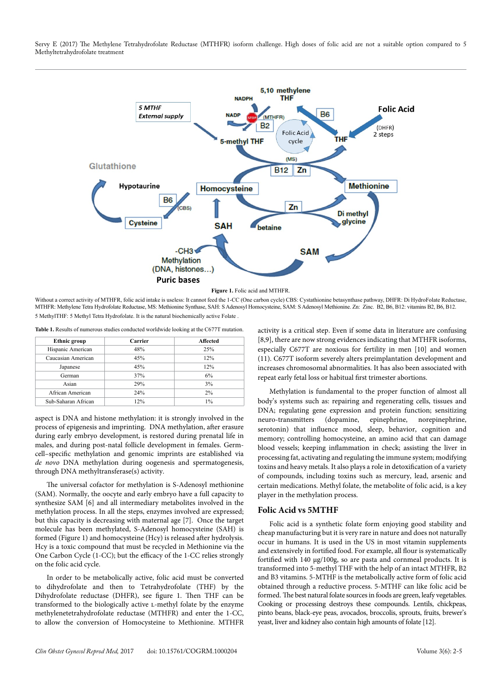Servy E (2017) The Methylene Tetrahydrofolate Reductase (MTHFR) isoform challenge. High doses of folic acid are not a suitable option compared to 5 Methyltetrahydrofolate treatment



Without a correct activity of MTHFR, folic acid intake is useless: It cannot feed the 1-CC (One carbon cycle) CBS: Cystathionine betasynthase pathway, DHFR: Di HydroFolate Reductase, MTHFR: Methylene Tetra Hydrofolate Reductase, MS: Methionine Synthase, SAH: S Adenosyl Homocysteine, SAM: S Adenosyl Methionine. Zn: Zinc. B2, B6, B12: vitamins B2, B6, B12. 5 MethylTHF: 5 Methyl Tetra Hydrofolate. It is the natural biochemically active Folate .

**Table 1.** Results of numerous studies conducted worldwide looking at the C677T mutation.

| Carrier | Affected |  |
|---------|----------|--|
| 48%     | 25%      |  |
| 45%     | 12%      |  |
| 45%     | 12%      |  |
| 37%     | 6%       |  |
| 29%     | 3%       |  |
| 24%     | 2%       |  |
| 12%     | $1\%$    |  |
|         |          |  |

aspect is DNA and histone methylation: it is strongly involved in the process of epigenesis and imprinting. DNA methylation, after erasure during early embryo development, is restored during prenatal life in males, and during post-natal follicle development in females. Germcell–specific methylation and genomic imprints are established via *de novo* DNA methylation during oogenesis and spermatogenesis, through DNA methyltransferase(s) activity.

The universal cofactor for methylation is S-Adenosyl methionine (SAM). Normally, the oocyte and early embryo have a full capacity to synthesize SAM [6] and all intermediary metabolites involved in the methylation process. In all the steps, enzymes involved are expressed; but this capacity is decreasing with maternal age [7]. Once the target molecule has been methylated, S-Adenosyl homocysteine (SAH) is formed (Figure 1) and homocysteine (Hcy) is released after hydrolysis. Hcy is a toxic compound that must be recycled in Methionine via the One Carbon Cycle (1-CC); but the efficacy of the 1-CC relies strongly on the folic acid cycle.

In order to be metabolically active, folic acid must be converted to dihydrofolate and then to Tetrahydrofolate (THF) by the Dihydrofolate reductase (DHFR), see figure 1. Then THF can be transformed to the biologically active l-methyl folate by the enzyme methylenetetrahydrofolate reductase (MTHFR) and enter the 1-CC, to allow the conversion of Homocysteine to Methionine. MTHFR

activity is a critical step. Even if some data in literature are confusing [8,9], there are now strong evidences indicating that MTHFR isoforms, especially C677T are noxious for fertility in men [10] and women (11). C677T isoform severely alters preimplantation development and increases chromosomal abnormalities. It has also been associated with repeat early fetal loss or habitual first trimester abortions.

Methylation is fundamental to the proper function of almost all body's systems such as: repairing and regenerating cells, tissues and DNA; regulating gene expression and protein function; sensitizing neuro-transmitters (dopamine, epinephrine, norepinephrine, serotonin) that influence mood, sleep, behavior, cognition and memory; controlling homocysteine, an amino acid that can damage blood vessels; keeping inflammation in check; assisting the liver in processing fat, activating and regulating the immune system; modifying toxins and heavy metals. It also plays a role in detoxification of a variety of compounds, including toxins such as mercury, lead, arsenic and certain medications. Methyl folate, the metabolite of folic acid, is a key player in the methylation process.

# **Folic Acid vs 5MTHF**

Folic acid is a synthetic folate form enjoying good stability and cheap manufacturing but it is very rare in nature and does not naturally occur in humans. It is used in the US in most vitamin supplements and extensively in fortified food. For example, all flour is systematically fortified with 140 µg/100g, so are pasta and cornmeal products. It is transformed into 5-methyl THF with the help of an intact MTHFR, B2 and B3 vitamins. 5-MTHF is the metabolically active form of folic acid obtained through a reductive process. 5-MTHF can like folic acid be formed. The best natural folate sources in foods are green, leafy vegetables. Cooking or processing destroys these compounds. Lentils, chickpeas, pinto beans, black-eye peas, avocados, broccolis, sprouts, fruits, brewer's yeast, liver and kidney also contain high amounts of folate [12].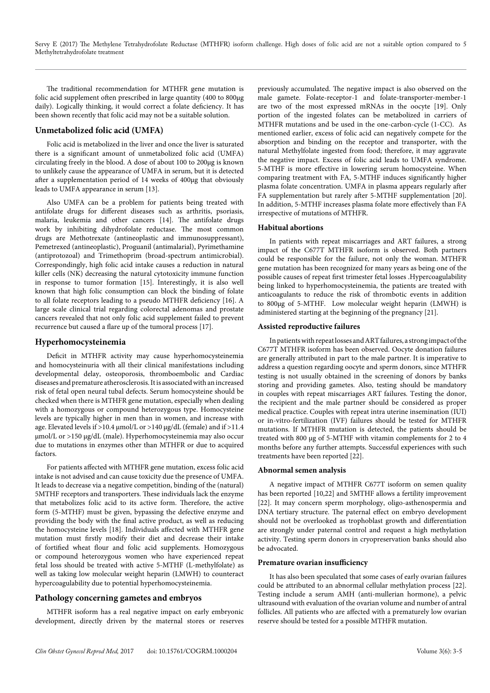Servy E (2017) The Methylene Tetrahydrofolate Reductase (MTHFR) isoform challenge. High doses of folic acid are not a suitable option compared to 5 Methyltetrahydrofolate treatment

The traditional recommendation for MTHFR gene mutation is folic acid supplement often prescribed in large quantity (400 to 800µg daily). Logically thinking, it would correct a folate deficiency. It has been shown recently that folic acid may not be a suitable solution.

# **Unmetabolized folic acid (UMFA)**

Folic acid is metabolized in the liver and once the liver is saturated there is a significant amount of unmetabolized folic acid (UMFA) circulating freely in the blood. A dose of about 100 to 200µg is known to unlikely cause the appearance of UMFA in serum, but it is detected after a supplementation period of 14 weeks of 400µg that obviously leads to UMFA appearance in serum [13].

Also UMFA can be a problem for patients being treated with antifolate drugs for different diseases such as arthritis, psoriasis, malaria, leukemia and other cancers [14]. The antifolate drugs work by inhibiting dihydrofolate reductase. The most common drugs are Methotrexate (antineoplastic and immunosuppressant), Pemetrexed (antineoplastic), Proguanil (antimalarial), Pyrimethamine (antiprotozoal) and Trimethoprim (broad-spectrum antimicrobial). Correspondingly, high folic acid intake causes a reduction in natural killer cells (NK) decreasing the natural cytotoxicity immune function in response to tumor formation [15]. Interestingly, it is also well known that high folic consumption can block the binding of folate to all folate receptors leading to a pseudo MTHFR deficiency [16]. A large scale clinical trial regarding colorectal adenomas and prostate cancers revealed that not only folic acid supplement failed to prevent recurrence but caused a flare up of the tumoral process [17].

### **Hyperhomocysteinemia**

Deficit in MTHFR activity may cause hyperhomocysteinemia and homocysteinuria with all their clinical manifestations including developmental delay, osteoporosis, thromboembolic and Cardiac diseases and premature atherosclerosis. It is associated with an increased risk of fetal open neural tubal defects. Serum homocysteine should be checked when there is MTHFR gene mutation, especially when dealing with a homozygous or compound heterozygous type. Homocysteine levels are typically higher in men than in women, and increase with age. Elevated levels if >10.4  $\mu$ mol/L or >140  $\mu$ g/dL (female) and if >11.4 µmol/L or >150 µg/dL (male). Hyperhomocysteinemia may also occur due to mutations in enzymes other than MTHFR or due to acquired factors.

For patients affected with MTHFR gene mutation, excess folic acid intake is not advised and can cause toxicity due the presence of UMFA. It leads to decrease via a negative competition, binding of the (natural) 5MTHF receptors and transporters. These individuals lack the enzyme that metabolizes folic acid to its active form. Therefore, the active form (5-MTHF) must be given, bypassing the defective enzyme and providing the body with the final active product, as well as reducing the homocysteine levels [18]. Individuals affected with MTHFR gene mutation must firstly modify their diet and decrease their intake of fortified wheat flour and folic acid supplements. Homozygous or compound heterozygous women who have experienced repeat fetal loss should be treated with active 5-MTHF (L-methylfolate) as well as taking low molecular weight heparin (LMWH) to counteract hypercoagulability due to potential hyperhomocysteinemia.

# **Pathology concerning gametes and embryos**

MTHFR isoform has a real negative impact on early embryonic development, directly driven by the maternal stores or reserves previously accumulated. The negative impact is also observed on the male gamete. Folate-receptor-1 and folate-transporter-member-1 are two of the most expressed mRNAs in the oocyte [19]. Only portion of the ingested folates can be metabolized in carriers of MTHFR mutations and be used in the one-carbon-cycle (1-CC). As mentioned earlier, excess of folic acid can negatively compete for the absorption and binding on the receptor and transporter, with the natural Methylfolate ingested from food; therefore, it may aggravate the negative impact. Excess of folic acid leads to UMFA syndrome. 5-MTHF is more effective in lowering serum homocysteine. When comparing treatment with FA, 5-MTHF induces significantly higher plasma folate concentration. UMFA in plasma appears regularly after FA supplementation but rarely after 5-MTHF supplementation [20]. In addition, 5-MTHF increases plasma folate more effectively than FA irrespective of mutations of MTHFR.

#### **Habitual abortions**

In patients with repeat miscarriages and ART failures, a strong impact of the C677T MTHFR isoform is observed. Both partners could be responsible for the failure, not only the woman. MTHFR gene mutation has been recognized for many years as being one of the possible causes of repeat first trimester fetal losses .Hypercoagulability being linked to hyperhomocysteinemia, the patients are treated with anticoagulants to reduce the risk of thrombotic events in addition to 800µg of 5-MTHF. Low molecular weight heparin (LMWH) is administered starting at the beginning of the pregnancy [21].

#### **Assisted reproductive failures**

In patients with repeat losses and ART failures, a strong impact of the C677T MTHFR isoform has been observed. Oocyte donation failures are generally attributed in part to the male partner. It is imperative to address a question regarding oocyte and sperm donors, since MTHFR testing is not usually obtained in the screening of donors by banks storing and providing gametes. Also, testing should be mandatory in couples with repeat miscarriages ART failures. Testing the donor, the recipient and the male partner should be considered as proper medical practice. Couples with repeat intra uterine insemination (IUI) or in-vitro-fertilization (IVF) failures should be tested for MTHFR mutations. If MTHFR mutation is detected, the patients should be treated with 800 µg of 5-MTHF with vitamin complements for 2 to 4 months before any further attempts. Successful experiences with such treatments have been reported [22].

#### **Abnormal semen analysis**

A negative impact of MTHFR C677T isoform on semen quality has been reported [10,22] and 5MTHF allows a fertility improvement [22]. It may concern sperm morphology, oligo-asthenospermia and DNA tertiary structure. The paternal effect on embryo development should not be overlooked as trophoblast growth and differentiation are strongly under paternal control and request a high methylation activity. Testing sperm donors in cryopreservation banks should also be advocated.

#### **Premature ovarian insufficiency**

It has also been speculated that some cases of early ovarian failures could be attributed to an abnormal cellular methylation process [22]. Testing include a serum AMH (anti-mullerian hormone), a pelvic ultrasound with evaluation of the ovarian volume and number of antral follicles. All patients who are affected with a prematurely low ovarian reserve should be tested for a possible MTHFR mutation.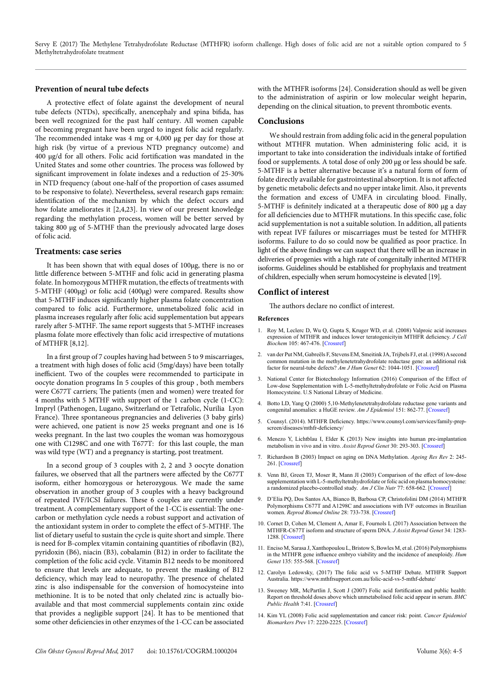Servy E (2017) The Methylene Tetrahydrofolate Reductase (MTHFR) isoform challenge. High doses of folic acid are not a suitable option compared to 5 Methyltetrahydrofolate treatment

#### **Prevention of neural tube defects**

A protective effect of folate against the development of neural tube defects (NTDs), specifically, anencephaly and spina bifida, has been well recognized for the past half century. All women capable of becoming pregnant have been urged to ingest folic acid regularly. The recommended intake was 4 mg or 4,000 µg per day for those at high risk (by virtue of a previous NTD pregnancy outcome) and 400 µg/d for all others. Folic acid fortification was mandated in the United States and some other countries. The process was followed by significant improvement in folate indexes and a reduction of 25-30% in NTD frequency (about one-half of the proportion of cases assumed to be responsive to folate). Nevertheless, several research gaps remain: identification of the mechanism by which the defect occurs and how folate ameliorates it [2,4,23]. In view of our present knowledge regarding the methylation process, women will be better served by taking 800 µg of 5-MTHF than the previously advocated large doses of folic acid.

#### **Treatments: case series**

It has been shown that with equal doses of 100µg, there is no or little difference between 5-MTHF and folic acid in generating plasma folate. In homozygous MTHFR mutation, the effects of treatments with 5-MTHF (400µg) or folic acid (400µg) were compared. Results show that 5-MTHF induces significantly higher plasma folate concentration compared to folic acid. Furthermore, unmetabolized folic acid in plasma increases regularly after folic acid supplementation but appears rarely after 5-MTHF. The same report suggests that 5-MTHF increases plasma folate more effectively than folic acid irrespective of mutations of MTHFR [8,12].

In a first group of 7 couples having had between 5 to 9 miscarriages, a treatment with high doses of folic acid (5mg/days) have been totally inefficient. Two of the couples were recommended to participate in oocyte donation programs In 5 couples of this group , both members were C677T carriers; The patients (men and women) were treated for 4 months with 5 MTHF with support of the 1 carbon cycle (1-CC): Impryl (Pathenogen, Lugano, Switzerland or Tetrafolic, Nurilia Lyon France). Three spontaneous pregnancies and deliveries (3 baby girls) were achieved, one patient is now 25 weeks pregnant and one is 16 weeks pregnant. In the last two couples the woman was homozygous one with C1298C and one with T677T: for this last couple, the man was wild type (WT) and a pregnancy is starting, post treatment.

In a second group of 3 couples with 2, 2 and 3 oocyte donation failures, we observed that all the partners were affected by the C677T isoform, either homozygous or heterozygous. We made the same observation in another group of 3 couples with a heavy background of repeated IVF/ICSI failures. These 6 couples are currently under treatment. A complementary support of the 1-CC is essential: The onecarbon or methylation cycle needs a robust support and activation of the antioxidant system in order to complete the effect of 5-MTHF. The list of dietary useful to sustain the cycle is quite short and simple. There is need for B-complex vitamin containing quantities of riboflavin (B2), pyridoxin (B6), niacin (B3), cobalamin (B12) in order to facilitate the completion of the folic acid cycle. Vitamin B12 needs to be monitored to ensure that levels are adequate, to prevent the masking of B12 deficiency, which may lead to neuropathy. The presence of chelated zinc is also indispensable for the conversion of homocysteine into methionine. It is to be noted that only chelated zinc is actually bioavailable and that most commercial supplements contain zinc oxide that provides a negligible support [24]. It has to be mentioned that some other deficiencies in other enzymes of the 1-CC can be associated

with the MTHFR isoforms [24]. Consideration should as well be given to the administration of aspirin or low molecular weight heparin, depending on the clinical situation, to prevent thrombotic events.

#### **Conclusions**

We should restrain from adding folic acid in the general population without MTHFR mutation. When administering folic acid, it is important to take into consideration the individuals intake of fortified food or supplements. A total dose of only 200 µg or less should be safe. 5-MTHF is a better alternative because it's a natural form of form of folate directly available for gastrointestinal absorption. It is not affected by genetic metabolic defects and no upper intake limit. Also, it prevents the formation and excess of UMFA in circulating blood. Finally, 5-MTHF is definitely indicated at a therapeutic dose of 800 µg a day for all deficiencies due to MTHFR mutations. In this specific case, folic acid supplementation is not a suitable solution. In addition, all patients with repeat IVF failures or miscarriages must be tested for MTHFR isoforms. Failure to do so could now be qualified as poor practice. In light of the above findings we can suspect that there will be an increase in deliveries of progenies with a high rate of congenitally inherited MTHFR isoforms. Guidelines should be established for prophylaxis and treatment of children, especially when serum homocysteine is elevated [19].

## **Conflict of interest**

The authors declare no conflict of interest.

#### **References**

- 1. Roy M, Leclerc D, Wu Q, Gupta S, Kruger WD, et al. (2008) Valproic acid increases expression of MTHFR and induces lower teratogenicityin MTHFR deficiency. *J Cell Biochem* 105: 467-476. [\[Crossref\]](https://www.ncbi.nlm.nih.gov/pubmed/18615588)
- 2. van der Put NM, Gabreëls F, Stevens EM, Smeitink JA, Trijbels FJ, et al. (1998) A second common mutation in the methylenetetrahydrofolate reductase gene: an additional risk factor for neural-tube defects? *Am J Hum Genet* 62: 1044-1051. [\[Crossref](https://www.ncbi.nlm.nih.gov/pubmed/9545395)]
- 3. National Center for Biotechnology Information (2016) Comparison of the Effect of Low-dose Supplementation with L-5-methyltetrahydrofolate or Folic Acid on Plasma Homocysteine. U.S National Library of Medicine.
- 4. Botto LD, Yang Q (2000) 5,10-Methylenetetrahydrofolate reductase gene variants and congenital anomalies: a HuGE review. *Am J Epidemiol* 151: 862-77. [\[Crossref](https://www.ncbi.nlm.nih.gov/pubmed/10791559)]
- 5. Counsyl. (2014). MTHFR Deficiency. [https://www.counsyl.com/services/family-prep](https://www.counsyl.com/services/family-prep-screen/diseases/mthfr-deficiency/)[screen/diseases/mthfr-deficiency/](https://www.counsyl.com/services/family-prep-screen/diseases/mthfr-deficiency/)
- 6. Menezo Y, Lichtblau I, Elder K (2013) New insights into human pre-implantation metabolism in vivo and in vitro. *Assist Reprod Genet* 30: 293-303. [[Crossref](https://www.ncbi.nlm.nih.gov/pmc/articles/PMC3607680/)]
- 7. Richardson B (2003) Impact on aging on DNA Methylation. *Ageing Res Rev* 2: 245- 261. [[Crossref\]](https://www.ncbi.nlm.nih.gov/pubmed/12726774)
- 8. Venn BJ, Green TJ, Moser R, Mann JI (2003) Comparison of the effect of low-dose supplementation with L-5-methyltetrahydrofolate or folic acid on plasma homocysteine: a randomized placebo-controlled study. *Am J Clin Nutr* 77: 658-662. [[Crossref](https://www.ncbi.nlm.nih.gov/pubmed/12600857)]
- 9. D'Elia PQ, Dos Santos AA, Bianco B, Barbosa CP, Christofolini DM (2014) MTHFR Polymorphisms C677T and A1298C and associations with IVF outcomes in Brazilian women. *Reprod Biomed Online* 28: 733-738. [[Crossref](https://www.ncbi.nlm.nih.gov/pubmed/24746944)]
- 10. Cornet D, Cohen M, Clement A, Amar E, Fournols L (2017) Association between the MTHFR-C677T isoform and structure of sperm DNA. *J Assist Reprod Genet* 34: 1283- 1288. [\[Crossref](https://www.ncbi.nlm.nih.gov/pubmed/28842818)]
- 11. Enciso M, Sarasa J, Xanthopoulou L, Bristow S, Bowles M, et al. (2016) Polymorphisms in the MTHFR gene influence embryo viability and the incidence of aneuploidy. *Hum Genet* 135: 555-568. [\[Crossref](https://www.ncbi.nlm.nih.gov/pubmed/27068821)]
- 12. Carolyn Ledowsky, (2017) The folic acid vs 5-MTHF Debate. MTHFR Support Australia. <https://www.mthfrsupport.com.au/folic-acid-vs-5-mthf-debate/>
- 13. Sweeney MR, McPartlin J, Scott J (2007) Folic acid fortification and public health: Report on threshold doses above which unmetabolised folic acid appear in serum. *BMC Public Health* 7:41. [[Crossref](https://www.ncbi.nlm.nih.gov/pubmed/17378936)]
- 14. Kim YL (2008) Folic acid supplementation and cancer risk: point. *Cancer Epidemiol Biomarkers Prev* 17: 2220-2225. [[Crossref](https://www.ncbi.nlm.nih.gov/pubmed/18768486)]